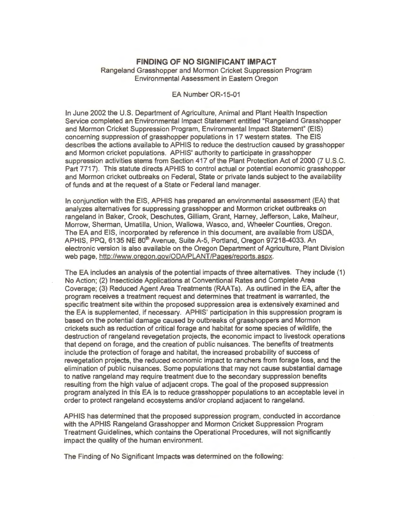## **FINDING OF NO SIGNIFICANT IMPACT**  Rangeland Grasshopper and Mormon Cricket Suppression Program Environmental Assessment in Eastern Oregon

## EA Number OR-15-01

In June 2002 the U.S. Department of Agriculture, Animal and Plant Health Inspection Service completed an Environmental Impact Statement entitled "Rangeland Grasshopper and Mormon Cricket Suppression Program, Environmental Impact Statement" (EIS) concerning suppression of grasshopper populations in 17 western states. The EIS describes the actions available to APHIS to reduce the destruction caused by grasshopper and Mormon cricket populations. APHIS' authority to participate in grasshopper suppression activities stems from Section 417 of the Plant Protection Act of 2000 (7 U.S.C. Part 7717). This statute directs APHIS to control actual or potential economic grasshopper and Mormon cricket outbreaks on Federal, State or private lands subject to the availability of funds and at the request of a State or Federal land manager.

In conjunction with the EIS, APHIS has prepared an environmental assessment (EA) that analyzes alternatives for suppressing grasshopper and Mormon cricket outbreaks on rangeland in Baker, Crook, Deschutes, Gilliam, Grant, Harney, Jefferson, Lake, Malheur, Morrow, Sherman, Umatilla, Union, Wallowa, Wasco, and, Wheeler Counties, Oregon. The EA and EIS, incorporated by reference in this document, are available from USDA, APHIS, PPQ, 6135 NE 80<sup>th</sup> Avenue, Suite A-5, Portland, Oregon 97218-4033. An electronic version is also available on the Oregon Department of Agriculture, Plant Division web page, http://www.oregon.gov/ODA/PLANT/Pages/reports.aspx.

The EA includes an analysis of the potential impacts of three alternatives. They include (1) No Action; (2) Insecticide Applications at Conventional Rates and Complete Area Coverage; (3) Reduced Agent Area Treatments (RAATs). As outlined in the EA, after the program receives a treatment request and determines that treatment is warranted, the specific treatment site within the proposed suppression area is extensively examined and the EA is supplemented, if necessary. APHIS' participation in this suppression program is based on the potential damage caused by outbreaks of grasshoppers and Mormon crickets such as reduction of critical forage and habitat for some species of wildlife, the destruction of rangeland revegetation projects, the economic impact to livestock operations that depend on forage, and the creation of public nuisances. The benefits of treatments include the protection of forage and habitat, the increased probability of success of revegetation projects, the reduced economic impact to ranchers from forage loss, and the elimination of public nuisances. Some populations that may not cause substantial damage to native rangeland may require treatment due to the secondary suppression benefits resulting from the high value of adjacent crops. The goal of the proposed suppression program analyzed in this EA is to reduce grasshopper populations to an acceptable level in order to protect rangeland ecosystems and/or cropland adjacent to rangeland.

APHIS has determined that the proposed suppression program, conducted in accordance with the APHIS Rangeland Grasshopper and Mormon Cricket Suppression Program Treatment Guidelines, which contains the Operational Procedures, will not significantly impact the quality of the human environment.

The Finding of No Significant Impacts was determined on the following: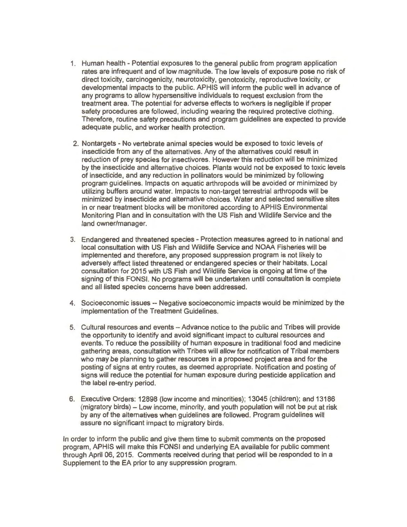- 1. Human health Potential exposures to the general public from program application rates are infrequent and of low magnitude. The low levels of exposure pose no risk of direct toxicity, carcinogenicity, neurotoxicity, genotoxicity, reproductive toxicity, or developmental impacts to the public. APHIS will inform the public well in advance of any programs to allow hypersensitive individuals to request exclusion from the treatment area. The potential for adverse effects to workers is negligible if proper safety procedures are followed, including wearing the required protective clothing. Therefore, routine safety precautions and program guidelines are expected to provide adequate public, and worker health protection.
- 2. Nontargets No vertebrate animal species would be exposed to toxic levels of insecticide from any of the alternatives. Any of the alternatives could result in reduction of prey species for insectivores. However this reduction will be minimized by the insecticide and alternative choices. Plants would not be exposed to toxic levels of insecticide, and any reduction in pollinators would be minimized by following program guidelines. Impacts on aquatic arthropods will be avoided or minimized by utilizing buffers around water. Impacts to non-target terrestrial arthropods will be minimized by insecticide and alternative choices. Water and selected sensitive sites in or near treatment blocks will be monitored according to APHIS Environmental Monitoring Plan and in consultation with the US Fish and Wildlife Service and the land owner/manager.
- 3. Endangered and threatened species Protection measures agreed to in national and local consultation with US Fish and Wildlife Service and NOAA Fisheries will be implemented and therefore, any proposed suppression program is not likely to adversely affect listed threatened or endangered species or their habitats. local consultation for 2015 with US Fish and Wildlife Service is ongoing at time of the signing of this FONSI. No programs will be undertaken until consultation is complete and all listed species concerns have been addressed.
- 4. Socioeconomic issues -- Negative socioeconomic impacts would be minimized by the implementation of the Treatment Guidelines.
- 5. Cultural resources and events Advance notice to the public and Tribes will provide the opportunity to identify and avoid significant impact to cultural resources and events. To reduce the possibility of human exposure in traditional food and medicine gathering areas, consultation with Tribes will allow for notification of Tribal members who may be planning to gather resources in a proposed project area and for the posting of signs at entry routes, as deemed appropriate. Notification and posting of signs will reduce the potential for human exposure during pesticide application and the label re-entry period.
- 6. Executive Orders: 12898 (low income and minorities); 13045 (children); and 13186 (migratory birds) - low income, minority, and youth population will not be put at risk by any of the alternatives when guidelines are followed. Program guidelines will assure no significant impact to migratory birds.

In order to inform the public and give them time to submit comments on the proposed program, APHIS will make this FONSI and underlying EA available for public comment through April 06, 2015. Comments received during that period will be responded to in a Supplement to the EA prior to any suppression program.